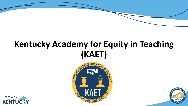# **Kentucky Academy for Equity in Teaching (KAET)**





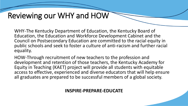## Reviewing our WHY and HOW

WHY-The Kentucky Department of Education, the Kentucky Board of Education, the Education and Workforce Development Cabinet and the Council on Postsecondary Education are committed to the racial equity in public schools and seek to foster a culture of anti-racism and further racial equality.

HOW-Through recruitment of new teachers to the profession and development and retention of those teachers, the Kentucky Academy for Equity in Teaching (KAET) project will provide all students with equitable access to effective, experienced and diverse educators that will help ensure all graduates are prepared to be successful members of a global society.

**INSPIRE-PREPARE-EDUCATE**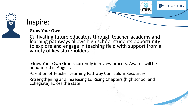

### Inspire:

#### **Grow Your Own-**

Cultivating future educators through teacher-academy and learning pathways allows high school students opportunity to explore and engage in teaching field with support from a variety of key stakeholders

EACHKY

-Grow Your Own Grants currently in review process. Awards will be announced in August.

-Creation of Teacher Learning Pathway Curriculum Resources

-Strengthening and increasing Ed Rising Chapters (high school and collegiate) across the state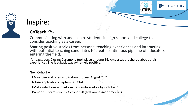### Inspire:

### **GoTeach KY-**

Communicating with and inspire students in high school and college to consider teaching as a career.

Sharing positive stories from personal teaching experiences and interacting with potential teaching candidates to create continuous pipeline of educators entering the field.

EACHKY

**EDUCATORS** 

**-**Ambassadors Closing Ceremony took place on June 16. Ambassadors shared about their experiences The feedback was extremely positive.

Next Cohort –

- □ Advertise and open application process August 23rd
- ❑Close applications September 23rd.
- $\square$  Make selections and inform new ambassadors by October 1
- ❑Vendor ID forms due by October 20 (first ambassador meeting)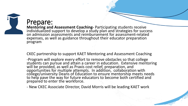

### Prepare:

**Mentoring and Assessment Coaching-** Participating students receive individualized support to develop a study plan and strategies for success on admission assessments and reimbursement for assessment-related expenses, as well as guidance throughout their educator preparation program

CKEC partnership to support KAET Mentoring and Assessment Coaching

-Program will explore every effort to remove obstacles so that college students can pursue and attain a career in education. Extensive mentoring will be provided, as well as Praxis cost relief, preparation, and opportunities for multiple attempts. In addition, collaboration with college/university Deans of Education to ensure mentorship meets needs to help pave the way for future educators to become both certified and prepared to enter the workforce.

- New CKEC Associate Director, David Morris will be leading KAET work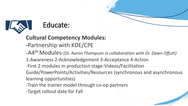

### Educate:

### **Cultural Competency Modules:**

**-**Partnership with KDE/CPE

-A4th Modules-*(Dr. Aaron Thompson in collaboration with Dr. Dawn Offutt)*

- 1-Awareness 2-Acknowledgement 3-Acceptance 4-Action
- -First 2 modules in production stage-Videos/Facilitation

Guide/PowerPoints/Activities/Resources (synchronous and asynchronous learning opportunities)

- -Train the trainer model through co-op partners
- -Target rollout date for Fall